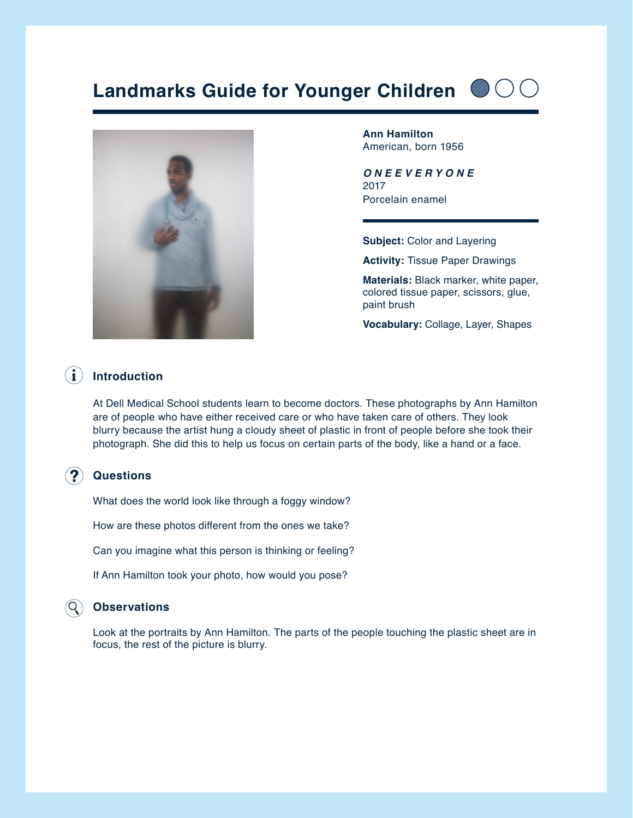# **Landmarks Guide for Younger Children**



**Ann Hamilton** American, born 1956

*O N E E V E R Y O N E* 2017 Porcelain enamel

**Subject:** Color and Layering

**Activity:** Tissue Paper Drawings

**Materials:** Black marker, white paper, colored tissue paper, scissors, glue, paint brush

**Vocabulary:** Collage, Layer, Shapes

## **Introduction**

At Dell Medical School students learn to become doctors. These photographs by Ann Hamilton are of people who have either received care or who have taken care of others. They look blurry because the artist hung a cloudy sheet of plastic in front of people before she took their photograph. She did this to help us focus on certain parts of the body, like a hand or a face.

## **Questions**

What does the world look like through a foggy window?

How are these photos different from the ones we take?

Can you imagine what this person is thinking or feeling?

If Ann Hamilton took your photo, how would you pose?

## **Observations**

Look at the portraits by Ann Hamilton. The parts of the people touching the plastic sheet are in focus, the rest of the picture is blurry.